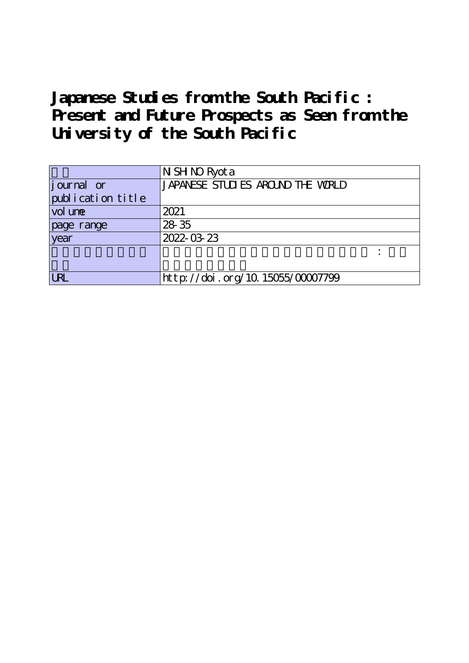**Japanese Studies from the South Pacific : Present and Future Prospects as Seen from the University of the South Pacific**

|                   | N SH NO Ryot a                    |
|-------------------|-----------------------------------|
| journal or        | JAPANESE STUDIES AROUND THE WORLD |
| publication title |                                   |
| vol une           | 2021                              |
| page range        | 28 35                             |
| year              | 2022-03-23                        |
|                   |                                   |
|                   |                                   |
| <b>LRL</b>        | http://doi.org/10.15055/00007799  |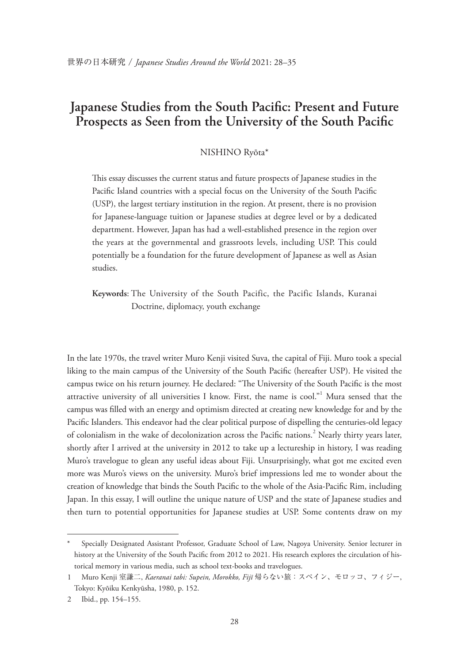## **Japanese Studies from the South Pacifc: Present and Future Prospects as Seen from the University of the South Pacifc**

## NISHINO Ryōta\*

This essay discusses the current status and future prospects of Japanese studies in the Pacifc Island countries with a special focus on the University of the South Pacifc (USP), the largest tertiary institution in the region. At present, there is no provision for Japanese-language tuition or Japanese studies at degree level or by a dedicated department. However, Japan has had a well-established presence in the region over the years at the governmental and grassroots levels, including USP. This could potentially be a foundation for the future development of Japanese as well as Asian studies.

**Keywords**: The University of the South Pacific, the Pacific Islands, Kuranai Doctrine, diplomacy, youth exchange

In the late 1970s, the travel writer Muro Kenji visited Suva, the capital of Fiji. Muro took a special liking to the main campus of the University of the South Pacifc (hereafter USP). He visited the campus twice on his return journey. He declared: "The University of the South Pacific is the most attractive university of all universities I know. First, the name is cool."<sup>1</sup> Mura sensed that the campus was flled with an energy and optimism directed at creating new knowledge for and by the Pacific Islanders. This endeavor had the clear political purpose of dispelling the centuries-old legacy of colonialism in the wake of decolonization across the Pacific nations.<sup>2</sup> Nearly thirty years later, shortly after I arrived at the university in 2012 to take up a lectureship in history, I was reading Muro's travelogue to glean any useful ideas about Fiji. Unsurprisingly, what got me excited even more was Muro's views on the university. Muro's brief impressions led me to wonder about the creation of knowledge that binds the South Pacifc to the whole of the Asia-Pacifc Rim, including Japan. In this essay, I will outline the unique nature of USP and the state of Japanese studies and then turn to potential opportunities for Japanese studies at USP. Some contents draw on my

Specially Designated Assistant Professor, Graduate School of Law, Nagoya University. Senior lecturer in history at the University of the South Pacifc from 2012 to 2021. His research explores the circulation of historical memory in various media, such as school text-books and travelogues.

<sup>1</sup> Muro Kenji 室謙二, *Kaeranai tabi: Supein, Morokko, Fijī* 帰らない旅:スペイン、モロッコ、フィジー, Tokyo: Kyōiku Kenkyūsha, 1980, p. 152.

<sup>2</sup> Ibid., pp. 154–155.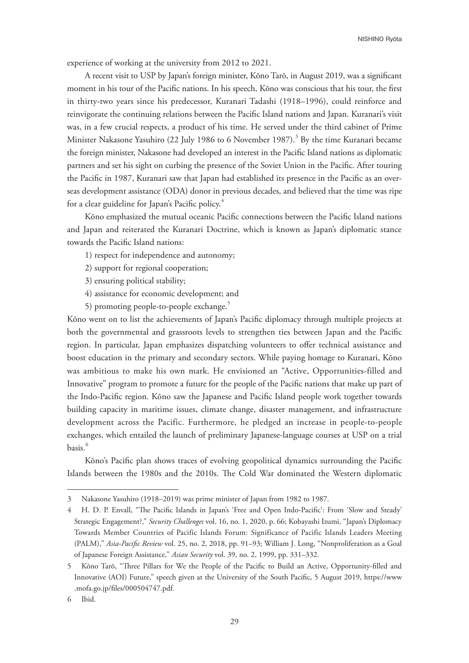experience of working at the university from 2012 to 2021.

A recent visit to USP by Japan's foreign minister, Kōno Tarō, in August 2019, was a signifcant moment in his tour of the Pacifc nations. In his speech, Kōno was conscious that his tour, the frst in thirty-two years since his predecessor, Kuranari Tadashi (1918–1996), could reinforce and reinvigorate the continuing relations between the Pacifc Island nations and Japan. Kuranari's visit was, in a few crucial respects, a product of his time. He served under the third cabinet of Prime Minister Nakasone Yasuhiro (22 July 1986 to 6 November 1987).<sup>3</sup> By the time Kuranari became the foreign minister, Nakasone had developed an interest in the Pacifc Island nations as diplomatic partners and set his sight on curbing the presence of the Soviet Union in the Pacifc. After touring the Pacifc in 1987, Kuranari saw that Japan had established its presence in the Pacifc as an overseas development assistance (ODA) donor in previous decades, and believed that the time was ripe for a clear guideline for Japan's Pacific policy.<sup>4</sup>

Kōno emphasized the mutual oceanic Pacifc connections between the Pacifc Island nations and Japan and reiterated the Kuranari Doctrine, which is known as Japan's diplomatic stance towards the Pacifc Island nations:

1) respect for independence and autonomy;

2) support for regional cooperation;

3) ensuring political stability;

- 4) assistance for economic development; and
- 5) promoting people-to-people exchange.<sup>5</sup>

Kōno went on to list the achievements of Japan's Pacifc diplomacy through multiple projects at both the governmental and grassroots levels to strengthen ties between Japan and the Pacifc region. In particular, Japan emphasizes dispatching volunteers to offer technical assistance and boost education in the primary and secondary sectors. While paying homage to Kuranari, Kōno was ambitious to make his own mark. He envisioned an "Active, Opportunities-filled and Innovative" program to promote a future for the people of the Pacifc nations that make up part of the Indo-Pacifc region. Kōno saw the Japanese and Pacifc Island people work together towards building capacity in maritime issues, climate change, disaster management, and infrastructure development across the Pacific. Furthermore, he pledged an increase in people-to-people exchanges, which entailed the launch of preliminary Japanese-language courses at USP on a trial basis.<sup>6</sup>

Kōno's Pacifc plan shows traces of evolving geopolitical dynamics surrounding the Pacifc Islands between the 1980s and the 2010s. The Cold War dominated the Western diplomatic

<sup>3</sup> Nakasone Yasuhiro (1918–2019) was prime minister of Japan from 1982 to 1987.

<sup>4</sup> H. D. P. Envall, "The Pacific Islands in Japan's 'Free and Open Indo-Pacific': From 'Slow and Steady' Strategic Engagement?," *Security Challenges* vol. 16, no. 1, 2020, p. 66; Kobayashi Izumi, "Japan's Diplomacy Towards Member Countries of Pacific Islands Forum: Significance of Pacific Islands Leaders Meeting (PALM)," *Asia-Pacifc Review* vol. 25, no. 2, 2018, pp. 91–93; William J. Long, "Nonproliferation as a Goal of Japanese Foreign Assistance," *Asian Security* vol. 39, no. 2, 1999, pp. 331–332.

<sup>5</sup> Kōno Tarō, "Tree Pillars for We the People of the Pacifc to Build an Active, Opportunity-flled and Innovative (AOI) Future," speech given at the University of the South Pacifc, 5 August 2019, https://www .mofa.go.jp/fles/000504747.pdf.

<sup>6</sup> Ibid.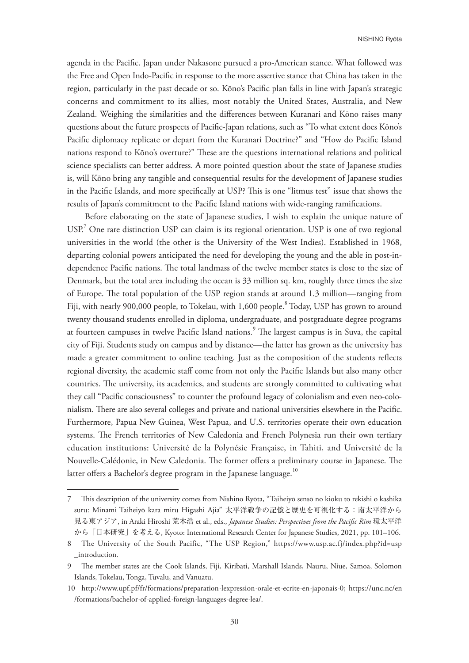agenda in the Pacifc. Japan under Nakasone pursued a pro-American stance. What followed was the Free and Open Indo-Pacifc in response to the more assertive stance that China has taken in the region, particularly in the past decade or so. Kōno's Pacifc plan falls in line with Japan's strategic concerns and commitment to its allies, most notably the United States, Australia, and New Zealand. Weighing the similarities and the diferences between Kuranari and Kōno raises many questions about the future prospects of Pacifc-Japan relations, such as "To what extent does Kōno's Pacifc diplomacy replicate or depart from the Kuranari Doctrine?" and "How do Pacifc Island nations respond to Kōno's overture?" These are the questions international relations and political science specialists can better address. A more pointed question about the state of Japanese studies is, will Kōno bring any tangible and consequential results for the development of Japanese studies in the Pacific Islands, and more specifically at USP? This is one "litmus test" issue that shows the results of Japan's commitment to the Pacifc Island nations with wide-ranging ramifcations.

Before elaborating on the state of Japanese studies, I wish to explain the unique nature of  $USP<sup>7</sup>$  One rare distinction USP can claim is its regional orientation. USP is one of two regional universities in the world (the other is the University of the West Indies). Established in 1968, departing colonial powers anticipated the need for developing the young and the able in post-independence Pacific nations. The total landmass of the twelve member states is close to the size of Denmark, but the total area including the ocean is 33 million sq. km, roughly three times the size of Europe. The total population of the USP region stands at around 1.3 million—ranging from Fiji, with nearly 900,000 people, to Tokelau, with 1,600 people.<sup>8</sup> Today, USP has grown to around twenty thousand students enrolled in diploma, undergraduate, and postgraduate degree programs at fourteen campuses in twelve Pacific Island nations.<sup>9</sup> The largest campus is in Suva, the capital city of Fiji. Students study on campus and by distance—the latter has grown as the university has made a greater commitment to online teaching. Just as the composition of the students refects regional diversity, the academic staf come from not only the Pacifc Islands but also many other countries. The university, its academics, and students are strongly committed to cultivating what they call "Pacifc consciousness" to counter the profound legacy of colonialism and even neo-colonialism. There are also several colleges and private and national universities elsewhere in the Pacific. Furthermore, Papua New Guinea, West Papua, and U.S. territories operate their own education systems. The French territories of New Caledonia and French Polynesia run their own tertiary education institutions: Université de la Polynésie Française, in Tahiti, and Université de la Nouvelle-Calédonie, in New Caledonia. The former offers a preliminary course in Japanese. The latter offers a Bachelor's degree program in the Japanese language. $^{10}$ 

<sup>7</sup> Tis description of the university comes from Nishino Ryōta, "Taiheiyō sensō no kioku to rekishi o kashika suru: Minami Taiheiyō kara miru Higashi Ajia" 太平洋戦争の記憶と歴史を可視化する:南太平洋から 見る東アジア, in Araki Hiroshi 荒木浩 et al., eds., *Japanese Studies: Perspectives from the Pacifc Rim* 環太平洋 から「日本研究」を考える, Kyoto: International Research Center for Japanese Studies, 2021, pp. 101–106.

<sup>8</sup> The University of the South Pacific, "The USP Region," https://www.usp.ac.fj/index.php?id=usp \_introduction.

<sup>9</sup> The member states are the Cook Islands, Fiji, Kiribati, Marshall Islands, Nauru, Niue, Samoa, Solomon Islands, Tokelau, Tonga, Tuvalu, and Vanuatu.

<sup>10</sup> http://www.upf.pf/fr/formations/preparation-lexpression-orale-et-ecrite-en-japonais-0; https://unc.nc/en /formations/bachelor-of-applied-foreign-languages-degree-lea/.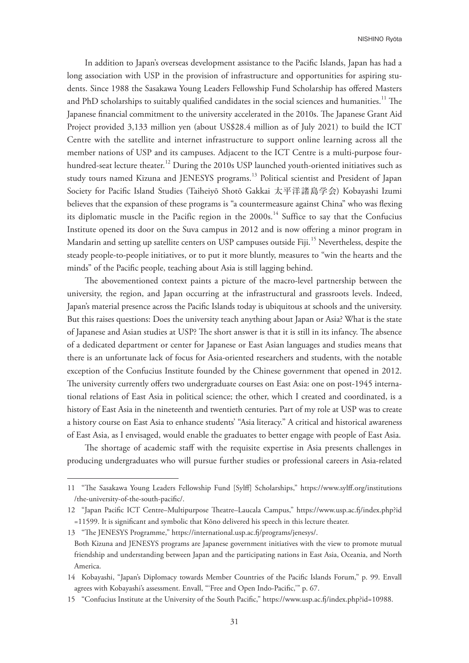In addition to Japan's overseas development assistance to the Pacifc Islands, Japan has had a long association with USP in the provision of infrastructure and opportunities for aspiring students. Since 1988 the Sasakawa Young Leaders Fellowship Fund Scholarship has ofered Masters and PhD scholarships to suitably qualified candidates in the social sciences and humanities.<sup>11</sup> The Japanese financial commitment to the university accelerated in the 2010s. The Japanese Grant Aid Project provided 3,133 million yen (about US\$28.4 million as of July 2021) to build the ICT Centre with the satellite and internet infrastructure to support online learning across all the member nations of USP and its campuses. Adjacent to the ICT Centre is a multi-purpose fourhundred-seat lecture theater.<sup>12</sup> During the 2010s USP launched youth-oriented initiatives such as study tours named Kizuna and JENESYS programs.<sup>13</sup> Political scientist and President of Japan Society for Pacifc Island Studies (Taiheiyō Shotō Gakkai 太平洋諸島学会) Kobayashi Izumi believes that the expansion of these programs is "a countermeasure against China" who was fexing its diplomatic muscle in the Pacific region in the  $2000s$ .<sup>14</sup> Suffice to say that the Confucius Institute opened its door on the Suva campus in 2012 and is now ofering a minor program in Mandarin and setting up satellite centers on USP campuses outside Fiji.<sup>15</sup> Nevertheless, despite the steady people-to-people initiatives, or to put it more bluntly, measures to "win the hearts and the minds" of the Pacifc people, teaching about Asia is still lagging behind.

The abovementioned context paints a picture of the macro-level partnership between the university, the region, and Japan occurring at the infrastructural and grassroots levels. Indeed, Japan's material presence across the Pacifc Islands today is ubiquitous at schools and the university. But this raises questions: Does the university teach anything about Japan or Asia? What is the state of Japanese and Asian studies at USP? The short answer is that it is still in its infancy. The absence of a dedicated department or center for Japanese or East Asian languages and studies means that there is an unfortunate lack of focus for Asia-oriented researchers and students, with the notable exception of the Confucius Institute founded by the Chinese government that opened in 2012. The university currently offers two undergraduate courses on East Asia: one on post-1945 international relations of East Asia in political science; the other, which I created and coordinated, is a history of East Asia in the nineteenth and twentieth centuries. Part of my role at USP was to create a history course on East Asia to enhance students' "Asia literacy." A critical and historical awareness of East Asia, as I envisaged, would enable the graduates to better engage with people of East Asia.

The shortage of academic staff with the requisite expertise in Asia presents challenges in producing undergraduates who will pursue further studies or professional careers in Asia-related

<sup>11 &</sup>quot;Te Sasakawa Young Leaders Fellowship Fund [Sylf] Scholarships," https://www.sylf.org/institutions /the-university-of-the-south-pacifc/.

<sup>12 &</sup>quot;Japan Pacifc ICT Centre–Multipurpose Teatre–Laucala Campus," https://www.usp.ac.f/index.php?id =11599. It is signifcant and symbolic that Kōno delivered his speech in this lecture theater.

<sup>13 &</sup>quot;The JENESYS Programme," https://international.usp.ac.fi/programs/jenesys/.

Both Kizuna and JENESYS programs are Japanese government initiatives with the view to promote mutual friendship and understanding between Japan and the participating nations in East Asia, Oceania, and North America.

<sup>14</sup> Kobayashi, "Japan's Diplomacy towards Member Countries of the Pacifc Islands Forum," p. 99. Envall agrees with Kobayashi's assessment. Envall, "'Free and Open Indo-Pacifc,'" p. 67.

<sup>15 &</sup>quot;Confucius Institute at the University of the South Pacifc," https://www.usp.ac.f/index.php?id=10988.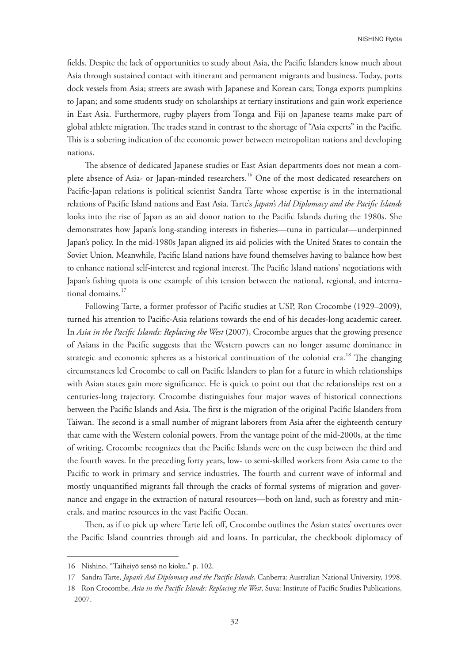felds. Despite the lack of opportunities to study about Asia, the Pacifc Islanders know much about Asia through sustained contact with itinerant and permanent migrants and business. Today, ports dock vessels from Asia; streets are awash with Japanese and Korean cars; Tonga exports pumpkins to Japan; and some students study on scholarships at tertiary institutions and gain work experience in East Asia. Furthermore, rugby players from Tonga and Fiji on Japanese teams make part of global athlete migration. The trades stand in contrast to the shortage of "Asia experts" in the Pacific. This is a sobering indication of the economic power between metropolitan nations and developing nations.

The absence of dedicated Japanese studies or East Asian departments does not mean a complete absence of Asia- or Japan-minded researchers.<sup>16</sup> One of the most dedicated researchers on Pacifc-Japan relations is political scientist Sandra Tarte whose expertise is in the international relations of Pacifc Island nations and East Asia. Tarte's *Japan's Aid Diplomacy and the Pacifc Islands* looks into the rise of Japan as an aid donor nation to the Pacifc Islands during the 1980s. She demonstrates how Japan's long-standing interests in fsheries—tuna in particular—underpinned Japan's policy. In the mid-1980s Japan aligned its aid policies with the United States to contain the Soviet Union. Meanwhile, Pacifc Island nations have found themselves having to balance how best to enhance national self-interest and regional interest. The Pacific Island nations' negotiations with Japan's fshing quota is one example of this tension between the national, regional, and international domains.<sup>17</sup>

Following Tarte, a former professor of Pacifc studies at USP, Ron Crocombe (1929–2009), turned his attention to Pacifc-Asia relations towards the end of his decades-long academic career. In *Asia in the Pacifc Islands: Replacing the West* (2007), Crocombe argues that the growing presence of Asians in the Pacifc suggests that the Western powers can no longer assume dominance in strategic and economic spheres as a historical continuation of the colonial era.<sup>18</sup> The changing circumstances led Crocombe to call on Pacifc Islanders to plan for a future in which relationships with Asian states gain more signifcance. He is quick to point out that the relationships rest on a centuries-long trajectory. Crocombe distinguishes four major waves of historical connections between the Pacific Islands and Asia. The first is the migration of the original Pacific Islanders from Taiwan. The second is a small number of migrant laborers from Asia after the eighteenth century that came with the Western colonial powers. From the vantage point of the mid-2000s, at the time of writing, Crocombe recognizes that the Pacifc Islands were on the cusp between the third and the fourth waves. In the preceding forty years, low- to semi-skilled workers from Asia came to the Pacific to work in primary and service industries. The fourth and current wave of informal and mostly unquantifed migrants fall through the cracks of formal systems of migration and governance and engage in the extraction of natural resources—both on land, such as forestry and minerals, and marine resources in the vast Pacifc Ocean.

Then, as if to pick up where Tarte left off, Crocombe outlines the Asian states' overtures over the Pacifc Island countries through aid and loans. In particular, the checkbook diplomacy of

<sup>16</sup> Nishino, "Taiheiyō sensō no kioku," p. 102.

<sup>17</sup> Sandra Tarte, *Japan's Aid Diplomacy and the Pacifc Islands*, Canberra: Australian National University, 1998.

<sup>18</sup> Ron Crocombe, *Asia in the Pacifc Islands: Replacing the West*, Suva: Institute of Pacifc Studies Publications, 2007.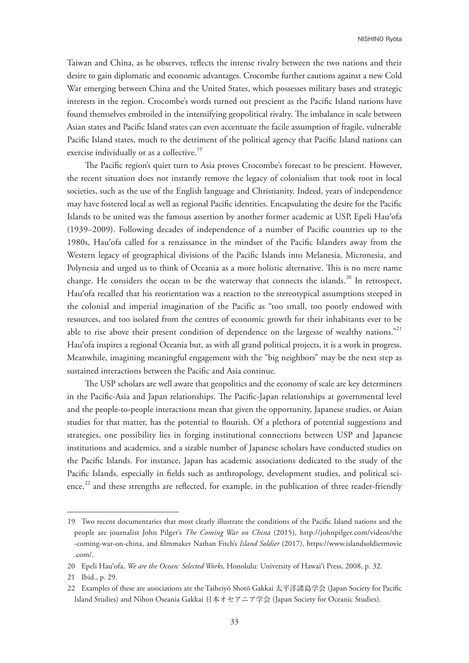Taiwan and China, as he observes, refects the intense rivalry between the two nations and their desire to gain diplomatic and economic advantages. Crocombe further cautions against a new Cold War emerging between China and the United States, which possesses military bases and strategic interests in the region. Crocombe's words turned out prescient as the Pacifc Island nations have found themselves embroiled in the intensifying geopolitical rivalry. The imbalance in scale between Asian states and Pacifc Island states can even accentuate the facile assumption of fragile, vulnerable Pacifc Island states, much to the detriment of the political agency that Pacifc Island nations can exercise individually or as a collective.<sup>19</sup>

The Pacific region's quiet turn to Asia proves Crocombe's forecast to be prescient. However, the recent situation does not instantly remove the legacy of colonialism that took root in local societies, such as the use of the English language and Christianity. Indeed, years of independence may have fostered local as well as regional Pacifc identities. Encapsulating the desire for the Pacifc Islands to be united was the famous assertion by another former academic at USP, Epeli Hauʹofa (1939–2009). Following decades of independence of a number of Pacifc countries up to the 1980s, Hauʹofa called for a renaissance in the mindset of the Pacifc Islanders away from the Western legacy of geographical divisions of the Pacifc Islands into Melanesia, Micronesia, and Polynesia and urged us to think of Oceania as a more holistic alternative. This is no mere name change. He considers the ocean to be the waterway that connects the islands.<sup>20</sup> In retrospect, Hau'ofa recalled that his reorientation was a reaction to the stereotypical assumptions steeped in the colonial and imperial imagination of the Pacific as "too small, too poorly endowed with resources, and too isolated from the centres of economic growth for their inhabitants ever to be able to rise above their present condition of dependence on the largesse of wealthy nations."<sup>21</sup> Hau'ofa inspires a regional Oceania but, as with all grand political projects, it is a work in progress. Meanwhile, imagining meaningful engagement with the "big neighbors" may be the next step as sustained interactions between the Pacifc and Asia continue.

The USP scholars are well aware that geopolitics and the economy of scale are key determiners in the Pacific-Asia and Japan relationships. The Pacific-Japan relationships at governmental level and the people-to-people interactions mean that given the opportunity, Japanese studies, or Asian studies for that matter, has the potential to flourish. Of a plethora of potential suggestions and strategies, one possibility lies in forging institutional connections between USP and Japanese institutions and academics, and a sizable number of Japanese scholars have conducted studies on the Pacifc Islands. For instance, Japan has academic associations dedicated to the study of the Pacifc Islands, especially in felds such as anthropology, development studies, and political science,<sup>22</sup> and these strengths are reflected, for example, in the publication of three reader-friendly

<sup>19</sup> Two recent documentaries that most clearly illustrate the conditions of the Pacifc Island nations and the people are journalist John Pilger's *The Coming War on China* (2015), http://johnpilger.com/videos/the -coming-war-on-china, and flmmaker Nathan Fitch's *Island Soldier* (2017), https://www.islandsoldiermovie .com/.

<sup>20</sup> Epeli Hauʹofa, *We are the Ocean: Selected Works*, Honolulu: University of Hawaiʹi Press, 2008, p. 32.

<sup>21</sup> Ibid., p. 29.

<sup>22</sup> Examples of these are associations are the Taiheiyō Shotō Gakkai 太平洋諸島学会 (Japan Society for Pacifc Island Studies) and Nihon Oseania Gakkai 日本オセアニア学会 (Japan Society for Oceanic Studies).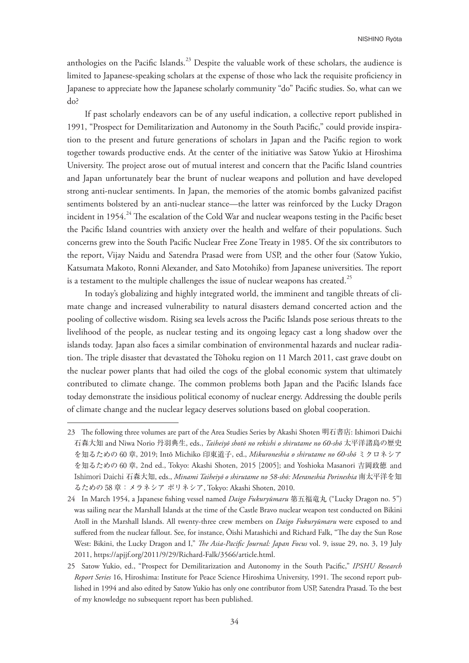anthologies on the Pacific Islands.<sup>23</sup> Despite the valuable work of these scholars, the audience is limited to Japanese-speaking scholars at the expense of those who lack the requisite profciency in Japanese to appreciate how the Japanese scholarly community "do" Pacifc studies. So, what can we do?

If past scholarly endeavors can be of any useful indication, a collective report published in 1991, "Prospect for Demilitarization and Autonomy in the South Pacifc," could provide inspiration to the present and future generations of scholars in Japan and the Pacifc region to work together towards productive ends. At the center of the initiative was Satow Yukio at Hiroshima University. The project arose out of mutual interest and concern that the Pacific Island countries and Japan unfortunately bear the brunt of nuclear weapons and pollution and have developed strong anti-nuclear sentiments. In Japan, the memories of the atomic bombs galvanized pacifst sentiments bolstered by an anti-nuclear stance—the latter was reinforced by the Lucky Dragon incident in 1954.<sup>24</sup> The escalation of the Cold War and nuclear weapons testing in the Pacific beset the Pacifc Island countries with anxiety over the health and welfare of their populations. Such concerns grew into the South Pacifc Nuclear Free Zone Treaty in 1985. Of the six contributors to the report, Vijay Naidu and Satendra Prasad were from USP, and the other four (Satow Yukio, Katsumata Makoto, Ronni Alexander, and Sato Motohiko) from Japanese universities. The report is a testament to the multiple challenges the issue of nuclear weapons has created.<sup>25</sup>

In today's globalizing and highly integrated world, the imminent and tangible threats of climate change and increased vulnerability to natural disasters demand concerted action and the pooling of collective wisdom. Rising sea levels across the Pacifc Islands pose serious threats to the livelihood of the people, as nuclear testing and its ongoing legacy cast a long shadow over the islands today. Japan also faces a similar combination of environmental hazards and nuclear radiation. The triple disaster that devastated the Tōhoku region on 11 March 2011, cast grave doubt on the nuclear power plants that had oiled the cogs of the global economic system that ultimately contributed to climate change. The common problems both Japan and the Pacific Islands face today demonstrate the insidious political economy of nuclear energy. Addressing the double perils of climate change and the nuclear legacy deserves solutions based on global cooperation.

<sup>23</sup> The following three volumes are part of the Area Studies Series by Akashi Shoten 明石書店: Ishimori Daichi 石森大知 and Niwa Norio 丹羽典生, eds., *Taiheiyō shotō no rekishi o shirutame no 60-shō* 太平洋諸島の歴史 を知るための 60 章, 2019; Intō Michiko 印東道子, ed., *Mikuroneshia o shirutame no 60-shō* ミクロネシア を知るための 60 章, 2nd ed., Tokyo: Akashi Shoten, 2015 [2005]; and Yoshioka Masanori 吉岡政徳 and Ishimori Daichi 石森大知, eds., *Minami Taiheiyō o shirutame no 58-shō: Meraneshia Porineshia* 南太平洋を知 るための 58 章:メラネシア ポリネシア, Tokyo: Akashi Shoten, 2010.

<sup>24</sup> In March 1954, a Japanese fshing vessel named *Daigo Fukuryūmaru* 第五福竜丸 ("Lucky Dragon no. 5") was sailing near the Marshall Islands at the time of the Castle Bravo nuclear weapon test conducted on Bikini Atoll in the Marshall Islands. All twenty-three crew members on *Daigo Fukuryūmaru* were exposed to and suffered from the nuclear fallout. See, for instance, Ōishi Matashichi and Richard Falk, "The day the Sun Rose West: Bikini, the Lucky Dragon and I," *Te Asia-Pacifc Journal: Japan Focus* vol. 9, issue 29, no. 3, 19 July 2011, https://apjjf.org/2011/9/29/Richard-Falk/3566/article.html.

<sup>25</sup> Satow Yukio, ed., "Prospect for Demilitarization and Autonomy in the South Pacifc," *IPSHU Research Report Series* 16, Hiroshima: Institute for Peace Science Hiroshima University, 1991. The second report published in 1994 and also edited by Satow Yukio has only one contributor from USP, Satendra Prasad. To the best of my knowledge no subsequent report has been published.